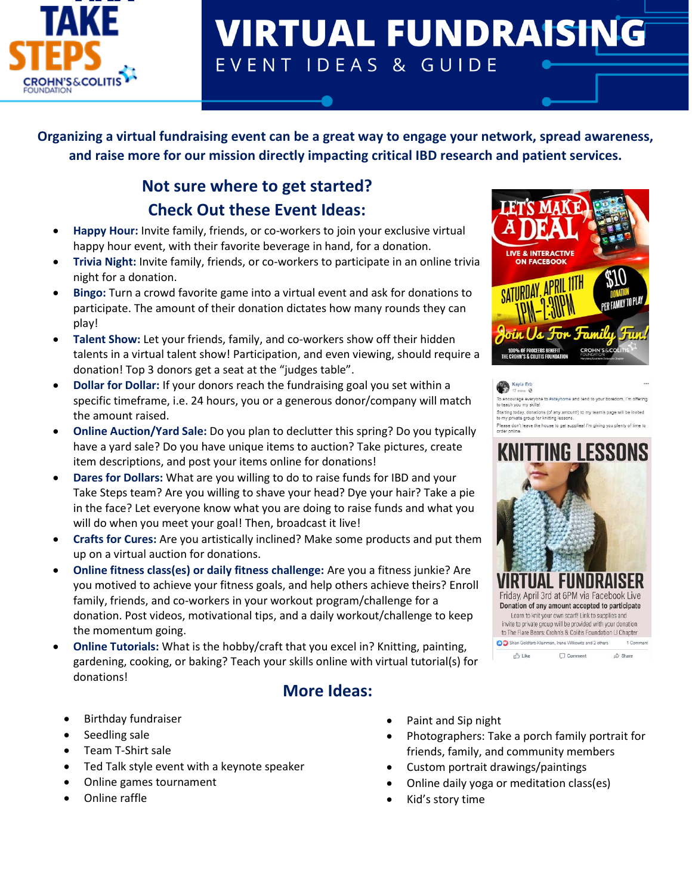

# **VIRTUAL FUNDRAISING** EVENT IDEAS & GUIDE

**Organizing a virtual fundraising event can be a great way to engage your network, spread awareness, and raise more for our mission directly impacting critical IBD research and patient services.** 

## **Not sure where to get started? Check Out these Event Ideas:**

- **Happy Hour:** Invite family, friends, or co-workers to join your exclusive virtual happy hour event, with their favorite beverage in hand, for a donation.
- **Trivia Night:** Invite family, friends, or co-workers to participate in an online trivia night for a donation.
- **Bingo:** Turn a crowd favorite game into a virtual event and ask for donations to participate. The amount of their donation dictates how many rounds they can play!
- **Talent Show:** Let your friends, family, and co-workers show off their hidden talents in a virtual talent show! Participation, and even viewing, should require a donation! Top 3 donors get a seat at the "judges table".
- **Dollar for Dollar:** If your donors reach the fundraising goal you set within a specific timeframe, i.e. 24 hours, you or a generous donor/company will match the amount raised.
- **Online Auction/Yard Sale:** Do you plan to declutter this spring? Do you typically have a yard sale? Do you have unique items to auction? Take pictures, create item descriptions, and post your items online for donations!
- **Dares for Dollars:** What are you willing to do to raise funds for IBD and your Take Steps team? Are you willing to shave your head? Dye your hair? Take a pie in the face? Let everyone know what you are doing to raise funds and what you will do when you meet your goal! Then, broadcast it live!
- **Crafts for Cures:** Are you artistically inclined? Make some products and put them up on a virtual auction for donations.
- **Online fitness class(es) or daily fitness challenge:** Are you a fitness junkie? Are you motived to achieve your fitness goals, and help others achieve theirs? Enroll family, friends, and co-workers in your workout program/challenge for a donation. Post videos, motivational tips, and a daily workout/challenge to keep the momentum going.
- **Online Tutorials:** What is the hobby/craft that you excel in? Knitting, painting, gardening, cooking, or baking? Teach your skills online with virtual tutorial(s) for donations!

#### **More Ideas:**

- Birthday fundraiser
- Seedling sale
- Team T-Shirt sale
- Ted Talk style event with a keynote speaker
- Online games tournament
- Online raffle
- Paint and Sip night
- Photographers: Take a porch family portrait for friends, family, and community members
- Custom portrait drawings/paintings
- Online daily yoga or meditation class(es)
- Kid's story time